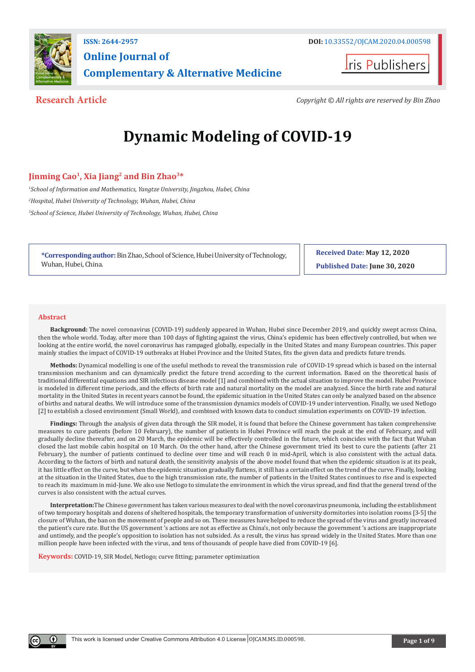

# **Online Journal of Complementary & Alternative Medicine**

**I**ris Publishers

**Research Article** *Copyright © All rights are reserved by Bin Zhao*

# **Dynamic Modeling of COVID-19**

# **Jinming Cao1, Xia Jiang2 and Bin Zhao3\***

*1 School of Information and Mathematics, Yangtze University, Jingzhou, Hubei, China 2 Hospital, Hubei University of Technology, Wuhan, Hubei, China 3 School of Science, Hubei University of Technology, Wuhan, Hubei, China*

**\*Corresponding author:** Bin Zhao, School of Science, Hubei University of Technology, Wuhan, Hubei, China.

**Received Date: May 12, 2020 Published Date: June 30, 2020**

#### **Abstract**

**Background:** The novel coronavirus (COVID-19) suddenly appeared in Wuhan, Hubei since December 2019, and quickly swept across China, then the whole world. Today, after more than 100 days of fighting against the virus, China's epidemic has been effectively controlled, but when we looking at the entire world, the novel coronavirus has rampaged globally, especially in the United States and many European countries. This paper mainly studies the impact of COVID-19 outbreaks at Hubei Province and the United States, fits the given data and predicts future trends.

**Methods:** Dynamical modelling is one of the useful methods to reveal the transmission rule of COVID-19 spread which is based on the internal transmission mechanism and can dynamically predict the future trend according to the current information. Based on the theoretical basis of traditional differential equations and SIR infectious disease model [1] and combined with the actual situation to improve the model. Hubei Province is modeled in different time periods, and the effects of birth rate and natural mortality on the model are analyzed. Since the birth rate and natural mortality in the United States in recent years cannot be found, the epidemic situation in the United States can only be analyzed based on the absence of births and natural deaths. We will introduce some of the transmission dynamics models of COVID-19 under intervention. Finally, we used Netlogo [2] to establish a closed environment (Small World), and combined with known data to conduct simulation experiments on COVID-19 infection.

Findings: Through the analysis of given data through the SIR model, it is found that before the Chinese government has taken comprehensive measures to cure patients (before 10 February), the number of patients in Hubei Province will reach the peak at the end of February, and will gradually decline thereafter, and on 20 March, the epidemic will be effectively controlled in the future, which coincides with the fact that Wuhan closed the last mobile cabin hospital on 10 March. On the other hand, after the Chinese government tried its best to cure the patients (after 21 February), the number of patients continued to decline over time and will reach 0 in mid-April, which is also consistent with the actual data. According to the factors of birth and natural death, the sensitivity analysis of the above model found that when the epidemic situation is at its peak, it has little effect on the curve, but when the epidemic situation gradually flattens, it still has a certain effect on the trend of the curve. Finally, looking at the situation in the United States, due to the high transmission rate, the number of patients in the United States continues to rise and is expected to reach its maximum in mid-June. We also use Netlogo to simulate the environment in which the virus spread, and find that the general trend of the curves is also consistent with the actual curves.

**Interpretation:**The Chinese government has taken various measures to deal with the novel coronavirus pneumonia, including the establishment of two temporary hospitals and dozens of sheltered hospitals, the temporary transformation of university dormitories into isolation rooms [3-5] the closure of Wuhan, the ban on the movement of people and so on. These measures have helped to reduce the spread of the virus and greatly increased the patient's cure rate. But the US government 's actions are not as effective as China's, not only because the government 's actions are inappropriate and untimely, and the people's opposition to isolation has not subsided. As a result, the virus has spread widely in the United States. More than one million people have been infected with the virus, and tens of thousands of people have died from COVID-19 [6].

**Keywords:** COVID-19, SIR Model, Netlogo; curve fitting; parameter optimization

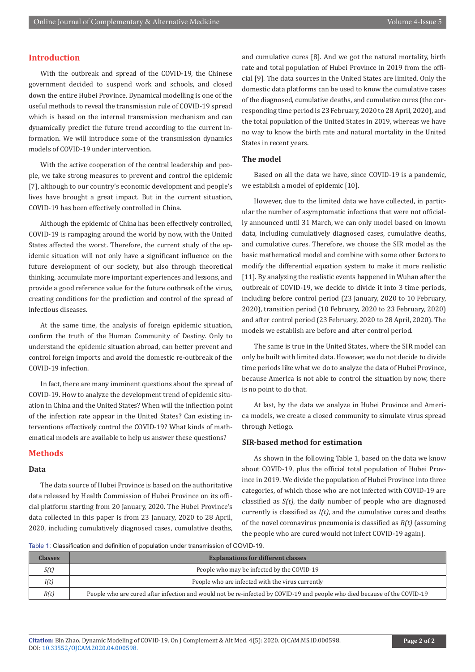#### **Introduction**

With the outbreak and spread of the COVID-19, the Chinese government decided to suspend work and schools, and closed down the entire Hubei Province. Dynamical modelling is one of the useful methods to reveal the transmission rule of COVID-19 spread which is based on the internal transmission mechanism and can dynamically predict the future trend according to the current information. We will introduce some of the transmission dynamics models of COVID-19 under intervention.

With the active cooperation of the central leadership and people, we take strong measures to prevent and control the epidemic [7], although to our country's economic development and people's lives have brought a great impact. But in the current situation, COVID-19 has been effectively controlled in China.

Although the epidemic of China has been effectively controlled, COVID-19 is rampaging around the world by now, with the United States affected the worst. Therefore, the current study of the epidemic situation will not only have a significant influence on the future development of our society, but also through theoretical thinking, accumulate more important experiences and lessons, and provide a good reference value for the future outbreak of the virus, creating conditions for the prediction and control of the spread of infectious diseases.

At the same time, the analysis of foreign epidemic situation, confirm the truth of the Human Community of Destiny. Only to understand the epidemic situation abroad, can better prevent and control foreign imports and avoid the domestic re-outbreak of the COVID-19 infection.

In fact, there are many imminent questions about the spread of COVID-19. How to analyze the development trend of epidemic situation in China and the United States? When will the inflection point of the infection rate appear in the United States? Can existing interventions effectively control the COVID-19? What kinds of mathematical models are available to help us answer these questions?

#### **Methods**

#### **Data**

The data source of Hubei Province is based on the authoritative data released by Health Commission of Hubei Province on its official platform starting from 20 January, 2020. The Hubei Province's data collected in this paper is from 23 January, 2020 to 28 April, 2020, including cumulatively diagnosed cases, cumulative deaths,

and cumulative cures [8]. And we got the natural mortality, birth rate and total population of Hubei Province in 2019 from the official [9]. The data sources in the United States are limited. Only the domestic data platforms can be used to know the cumulative cases of the diagnosed, cumulative deaths, and cumulative cures (the corresponding time period is 23 February, 2020 to 28 April, 2020), and the total population of the United States in 2019, whereas we have no way to know the birth rate and natural mortality in the United States in recent years.

#### **The model**

Based on all the data we have, since COVID-19 is a pandemic, we establish a model of epidemic [10].

However, due to the limited data we have collected, in particular the number of asymptomatic infections that were not officially announced until 31 March, we can only model based on known data, including cumulatively diagnosed cases, cumulative deaths, and cumulative cures. Therefore, we choose the SIR model as the basic mathematical model and combine with some other factors to modify the differential equation system to make it more realistic [11]. By analyzing the realistic events happened in Wuhan after the outbreak of COVID-19, we decide to divide it into 3 time periods, including before control period (23 January, 2020 to 10 February, 2020), transition period (10 February, 2020 to 23 February, 2020) and after control period (23 February, 2020 to 28 April, 2020). The models we establish are before and after control period.

The same is true in the United States, where the SIR model can only be built with limited data. However, we do not decide to divide time periods like what we do to analyze the data of Hubei Province, because America is not able to control the situation by now, there is no point to do that.

At last, by the data we analyze in Hubei Province and America models, we create a closed community to simulate virus spread through Netlogo.

#### **SIR-based method for estimation**

As shown in the following Table 1, based on the data we know about COVID-19, plus the official total population of Hubei Province in 2019. We divide the population of Hubei Province into three categories, of which those who are not infected with COVID-19 are classified as *S(t)*, the daily number of people who are diagnosed currently is classified as *I(t)*, and the cumulative cures and deaths of the novel coronavirus pneumonia is classified as *R(t)* (assuming the people who are cured would not infect COVID-19 again).

Table 1: Classification and definition of population under transmission of COVID-19.

| <b>Classes</b> | <b>Explanations for different classes</b>                                                                                 |  |
|----------------|---------------------------------------------------------------------------------------------------------------------------|--|
| S(t)           | People who may be infected by the COVID-19                                                                                |  |
| I(t)           | People who are infected with the virus currently                                                                          |  |
| R(t)           | People who are cured after infection and would not be re-infected by COVID-19 and people who died because of the COVID-19 |  |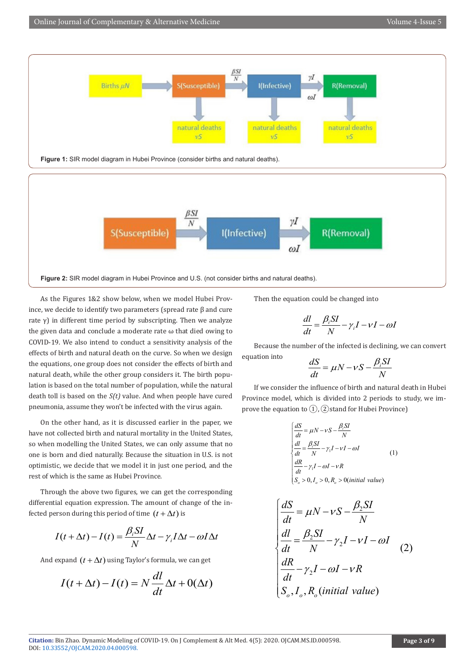

As the Figures 1&2 show below, when we model Hubei Province, we decide to identify two parameters (spread rate β and cure rate  $\gamma$ ) in different time period by subscripting. Then we analyze the given data and conclude a moderate rate ω that died owing to COVID-19. We also intend to conduct a sensitivity analysis of the effects of birth and natural death on the curve. So when we design the equations, one group does not consider the effects of birth and natural death, while the other group considers it. The birth population is based on the total number of population, while the natural death toll is based on the *S(t)* value. And when people have cured pneumonia, assume they won't be infected with the virus again.

On the other hand, as it is discussed earlier in the paper, we have not collected birth and natural mortality in the United States, so when modelling the United States, we can only assume that no one is born and died naturally. Because the situation in U.S. is not optimistic, we decide that we model it in just one period, and the rest of which is the same as Hubei Province.

Through the above two figures, we can get the corresponding differential equation expression. The amount of change of the infected person during this period of time  $(t + \Delta t)$  is

$$
I(t + \Delta t) - I(t) = \frac{\beta_i SI}{N} \Delta t - \gamma_i I \Delta t - \omega I \Delta t
$$

And expand  $(t + \Delta t)$  using Taylor's formula, we can get

$$
I(t + \Delta t) - I(t) = N \frac{dl}{dt} \Delta t + O(\Delta t)
$$

Then the equation could be changed into

$$
\frac{dl}{dt} = \frac{\beta_i SI}{N} - \gamma_i I - \nu I - \omega I
$$

Because the number of the infected is declining, we can convert  $e$ *quation* into

$$
\frac{dS}{dt} = \mu N - \nu S - \frac{\beta_i SI}{N}
$$

If we consider the influence of birth and natural death in Hubei Province model, which is divided into 2 periods to study, we improve the equation to  $(1)$ ,  $(2)$ stand for Hubei Province)

$$
\begin{cases}\n\frac{dS}{dt} = \mu N - vS - \frac{\beta_t SI}{N} \\
\frac{dl}{dt} = \frac{\beta_t SI}{N} - \gamma_t I - vI - \omega I \\
\frac{dR}{dt} - \gamma_t I - \omega I - vR \\
S_o > 0, I_o > 0, R_o > 0 (initial value)\n\end{cases}
$$
\n(1)

$$
\begin{cases}\n\frac{dS}{dt} = \mu N - vS - \frac{\beta_2 SI}{N} \\
\frac{dl}{dt} = \frac{\beta_2 SI}{N} - \gamma_2 I - vI - \omega I \\
\frac{dR}{dt} - \gamma_2 I - \omega I - vR \\
S_o, I_o, R_o (initial value)\n\end{cases}
$$
\n(2)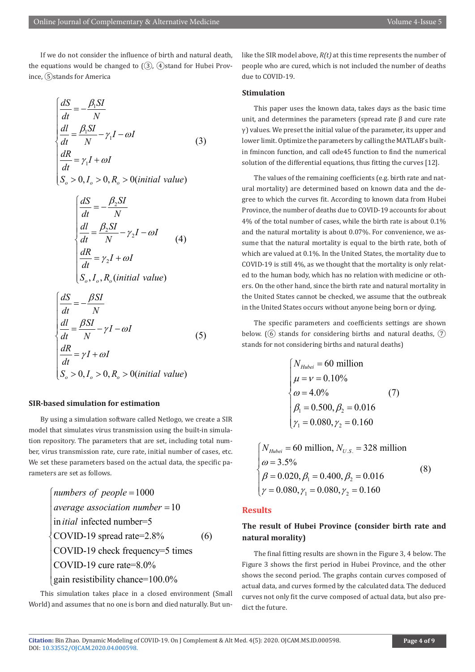If we do not consider the influence of birth and natural death, the equations would be changed to  $(3)$ ,  $(4)$ stand for Hubei Province, ⑤stands for America

$$
\begin{cases}\n\frac{dS}{dt} = -\frac{\beta_1 SI}{N} \\
\frac{dl}{dt} = \frac{\beta_1 SI}{N} - \gamma_1 I - \omega I \\
\frac{dR}{dt} = \gamma_1 I + \omega I \\
S_o > 0, I_o > 0, R_o > 0 (initial value)\n\end{cases}
$$
\n(3)

$$
\begin{cases}\n\frac{dS}{dt} = -\frac{\beta_2 SI}{N} \\
\frac{dl}{dt} = \frac{\beta_2 SI}{N} - \gamma_2 I - \omega I \\
\frac{dR}{dt} = \gamma_2 I + \omega I \\
S_o, I_o, R_o (initial value)\n\end{cases} (4)
$$

$$
\begin{cases}\n\frac{dS}{dt} = -\frac{\beta SI}{N} \\
\frac{dl}{dt} = \frac{\beta SI}{N} - \gamma I - \omega I \\
\frac{dR}{dt} = \gamma I + \omega I \\
S_o > 0, I_o > 0, R_o > 0 (initial value)\n\end{cases}
$$
\n(5)

#### **SIR-based simulation for estimation**

By using a simulation software called Netlogo, we create a SIR model that simulates virus transmission using the built-in simulation repository. The parameters that are set, including total number, virus transmission rate, cure rate, initial number of cases, etc. We set these parameters based on the actual data, the specific parameters are set as follows.

 1000 10 in infected number=5 COVID-19 spread rate=2.8% COVID-19 check frequency=5 times COVID-19 cure rate=8.0% gain resistibility chance=100.0% *numbers of people average association number itial* = <sup>=</sup> (6)

This simulation takes place in a closed environment (Small World) and assumes that no one is born and died naturally. But unlike the SIR model above, *R(t)* at this time represents the number of people who are cured, which is not included the number of deaths due to COVID-19.

#### **Stimulation**

This paper uses the known data, takes days as the basic time unit, and determines the parameters (spread rate β and cure rate  $\gamma$ ) values. We preset the initial value of the parameter, its upper and lower limit. Optimize the parameters by calling the MATLAB's builtin fmincon function, and call ode45 function to find the numerical solution of the differential equations, thus fitting the curves [12].

The values of the remaining coefficients (e.g. birth rate and natural mortality) are determined based on known data and the degree to which the curves fit. According to known data from Hubei Province, the number of deaths due to COVID-19 accounts for about 4% of the total number of cases, while the birth rate is about 0.1% and the natural mortality is about 0.07%. For convenience, we assume that the natural mortality is equal to the birth rate, both of which are valued at 0.1%. In the United States, the mortality due to COVID-19 is still 4%, as we thought that the mortality is only related to the human body, which has no relation with medicine or others. On the other hand, since the birth rate and natural mortality in the United States cannot be checked, we assume that the outbreak in the United States occurs without anyone being born or dying.

The specific parameters and coefficients settings are shown below. ( $\overline{6}$ ) stands for considering births and natural deaths,  $\overline{7}$ ) stands for not considering births and natural deaths)

$$
\begin{cases}\nN_{Hubei} = 60 \text{ million} \\
\mu = \nu = 0.10\% \\
\omega = 4.0\% \\
\beta_1 = 0.500, \beta_2 = 0.016 \\
\gamma_1 = 0.080, \gamma_2 = 0.160\n\end{cases} (7)
$$

$$
\begin{cases}\nN_{Hubei} = 60 \text{ million}, N_{U.S.} = 328 \text{ million} \\
\omega = 3.5\% \\
\beta = 0.020, \beta_1 = 0.400, \beta_2 = 0.016 \\
\gamma = 0.080, \gamma_1 = 0.080, \gamma_2 = 0.160\n\end{cases}
$$
\n(8)

#### **Results**

## **The result of Hubei Province (consider birth rate and natural morality)**

The final fitting results are shown in the Figure 3, 4 below. The Figure 3 shows the first period in Hubei Province, and the other shows the second period. The graphs contain curves composed of actual data, and curves formed by the calculated data. The deduced curves not only fit the curve composed of actual data, but also predict the future.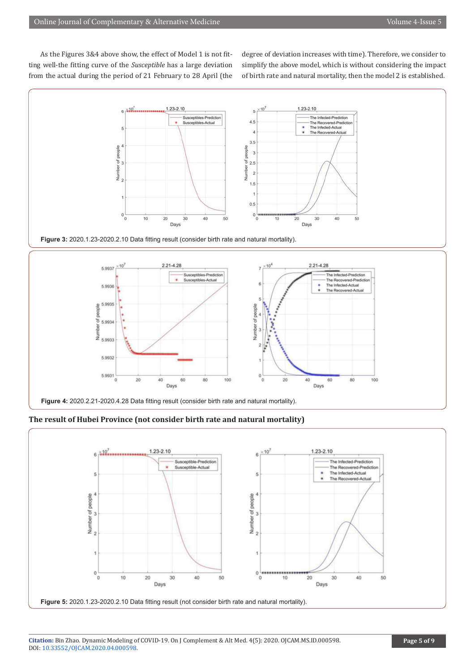As the Figures 3&4 above show, the effect of Model 1 is not fitting well-the fitting curve of the *Susceptible* has a large deviation from the actual during the period of 21 February to 28 April (the degree of deviation increases with time). Therefore, we consider to simplify the above model, which is without considering the impact of birth rate and natural mortality, then the model 2 is established.



**Figure 3:** 2020.1.23-2020.2.10 Data fitting result (consider birth rate and natural mortality).





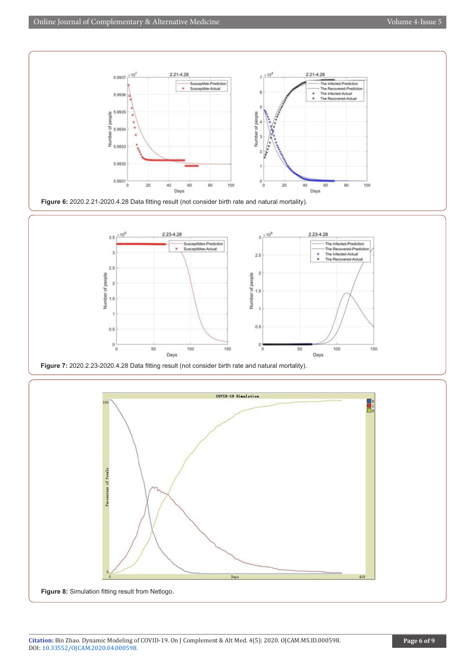



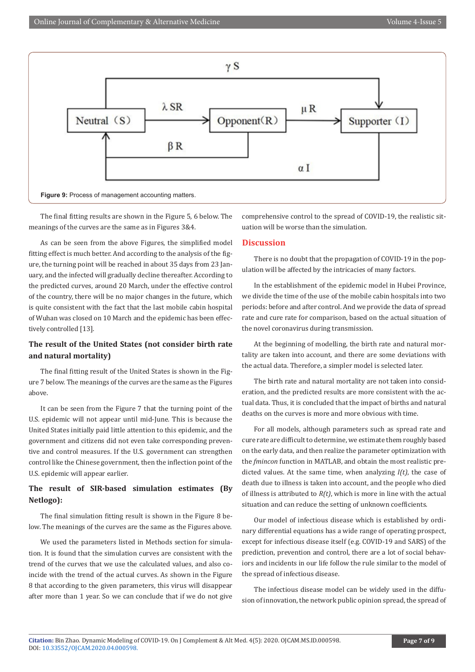

 $\mu$  R

The final fitting results are shown in the Figure 5, 6 below. The meanings of the curves are the same as in Figures 3&4.

 $\lambda$  SR

 $\beta R$ 

**Figure 9:** Process of management accounting matters.

Neutral  $(S)$ 

As can be seen from the above Figures, the simplified model fitting effect is much better. And according to the analysis of the figure, the turning point will be reached in about 35 days from 23 January, and the infected will gradually decline thereafter. According to the predicted curves, around 20 March, under the effective control of the country, there will be no major changes in the future, which is quite consistent with the fact that the last mobile cabin hospital of Wuhan was closed on 10 March and the epidemic has been effectively controlled [13].

# **The result of the United States (not consider birth rate and natural mortality)**

The final fitting result of the United States is shown in the Figure 7 below. The meanings of the curves are the same as the Figures above.

It can be seen from the Figure 7 that the turning point of the U.S. epidemic will not appear until mid-June. This is because the United States initially paid little attention to this epidemic, and the government and citizens did not even take corresponding preventive and control measures. If the U.S. government can strengthen control like the Chinese government, then the inflection point of the U.S. epidemic will appear earlier.

# **The result of SIR-based simulation estimates (By Netlogo):**

The final simulation fitting result is shown in the Figure 8 below. The meanings of the curves are the same as the Figures above.

We used the parameters listed in Methods section for simulation. It is found that the simulation curves are consistent with the trend of the curves that we use the calculated values, and also coincide with the trend of the actual curves. As shown in the Figure 8 that according to the given parameters, this virus will disappear after more than 1 year. So we can conclude that if we do not give comprehensive control to the spread of COVID-19, the realistic situation will be worse than the simulation.

Supporter  $(I)$ 

### **Discussion**

 $\gamma S$ 

Opponent $(R)$ 

There is no doubt that the propagation of COVID-19 in the population will be affected by the intricacies of many factors.

In the establishment of the epidemic model in Hubei Province, we divide the time of the use of the mobile cabin hospitals into two periods: before and after control. And we provide the data of spread rate and cure rate for comparison, based on the actual situation of the novel coronavirus during transmission.

At the beginning of modelling, the birth rate and natural mortality are taken into account, and there are some deviations with the actual data. Therefore, a simpler model is selected later.

The birth rate and natural mortality are not taken into consideration, and the predicted results are more consistent with the actual data. Thus, it is concluded that the impact of births and natural deaths on the curves is more and more obvious with time.

For all models, although parameters such as spread rate and cure rate are difficult to determine, we estimate them roughly based on the early data, and then realize the parameter optimization with the *fmincon* function in MATLAB, and obtain the most realistic predicted values. At the same time, when analyzing *I(t)*, the case of death due to illness is taken into account, and the people who died of illness is attributed to *R(t)*, which is more in line with the actual situation and can reduce the setting of unknown coefficients.

Our model of infectious disease which is established by ordinary differential equations has a wide range of operating prospect, except for infectious disease itself (e.g. COVID-19 and SARS) of the prediction, prevention and control, there are a lot of social behaviors and incidents in our life follow the rule similar to the model of the spread of infectious disease.

The infectious disease model can be widely used in the diffusion of innovation, the network public opinion spread, the spread of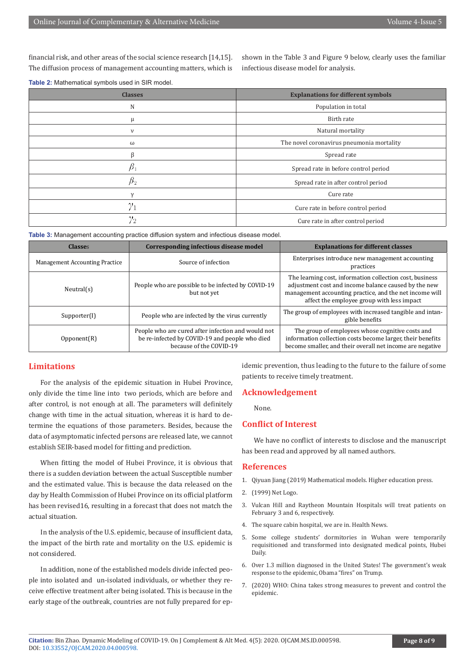financial risk, and other areas of the social science research [14,15]. The diffusion process of management accounting matters, which is shown in the Table 3 and Figure 9 below, clearly uses the familiar infectious disease model for analysis.

| Table 2: Mathematical symbols used in SIR model. |  |
|--------------------------------------------------|--|
|--------------------------------------------------|--|

| <b>Classes</b> | <b>Explanations for different symbols</b> |
|----------------|-------------------------------------------|
| N              | Population in total                       |
| μ              | Birth rate                                |
| $\mathsf{v}$   | Natural mortality                         |
| ω              | The novel coronavirus pneumonia mortality |
| β              | Spread rate                               |
| $\beta_1$      | Spread rate in before control period      |
| $\beta_2$      | Spread rate in after control period       |
| $\mathcal{V}$  | Cure rate                                 |
| $\gamma_1$     | Cure rate in before control period        |
| $\gamma_2$     | Cure rate in after control period         |

**Table 3:** Management accounting practice diffusion system and infectious disease model.

| <b>Classes</b>                        | Corresponding infectious disease model                                                                                          | <b>Explanations for different classes</b>                                                                                                                                                                                 |
|---------------------------------------|---------------------------------------------------------------------------------------------------------------------------------|---------------------------------------------------------------------------------------------------------------------------------------------------------------------------------------------------------------------------|
| <b>Management Accounting Practice</b> | Source of infection                                                                                                             | Enterprises introduce new management accounting<br>practices                                                                                                                                                              |
| Neutral(s)                            | People who are possible to be infected by COVID-19<br>but not yet                                                               | The learning cost, information collection cost, business<br>adjustment cost and income balance caused by the new<br>management accounting practice, and the net income will<br>affect the employee group with less impact |
| Supporter(I)                          | People who are infected by the virus currently                                                                                  | The group of employees with increased tangible and intan-<br>gible benefits                                                                                                                                               |
| Opponent(R)                           | People who are cured after infection and would not<br>be re-infected by COVID-19 and people who died<br>because of the COVID-19 | The group of employees whose cognitive costs and<br>information collection costs become larger, their benefits<br>become smaller, and their overall net income are negative                                               |

#### **Limitations**

For the analysis of the epidemic situation in Hubei Province, only divide the time line into two periods, which are before and after control, is not enough at all. The parameters will definitely change with time in the actual situation, whereas it is hard to determine the equations of those parameters. Besides, because the data of asymptomatic infected persons are released late, we cannot establish SEIR-based model for fitting and prediction.

When fitting the model of Hubei Province, it is obvious that there is a sudden deviation between the actual Susceptible number and the estimated value. This is because the data released on the day by Health Commission of Hubei Province on its official platform has been revised16, resulting in a forecast that does not match the actual situation.

In the analysis of the U.S. epidemic, because of insufficient data, the impact of the birth rate and mortality on the U.S. epidemic is not considered.

In addition, none of the established models divide infected people into isolated and un-isolated individuals, or whether they receive effective treatment after being isolated. This is because in the early stage of the outbreak, countries are not fully prepared for epidemic prevention, thus leading to the future to the failure of some patients to receive timely treatment.

#### **Acknowledgement**

None.

### **Conflict of Interest**

We have no conflict of interests to disclose and the manuscript has been read and approved by all named authors.

#### **References**

- 1. Qiyuan Jiang (2019) Mathematical models. Higher education press.
- 2. (1999) Net Logo.
- 3. Vulcan Hill and Raytheon Mountain Hospitals will treat patients on February 3 and 6, respectively.
- 4. The square cabin hospital, we are in. Health News.
- 5. Some college students' dormitories in Wuhan were temporarily requisitioned and transformed into designated medical points, Hubei Daily.
- 6. Over 1.3 million diagnosed in the United States! The government's weak response to the epidemic, Obama "fires" on Trump.
- 7. (2020) WHO: China takes strong measures to prevent and control the epidemic.